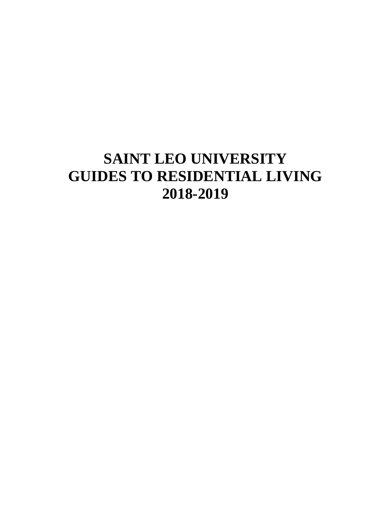# **SAINT LEO UNIVERSITY GUIDES TO RESIDENTIAL LIVING 2018-2019**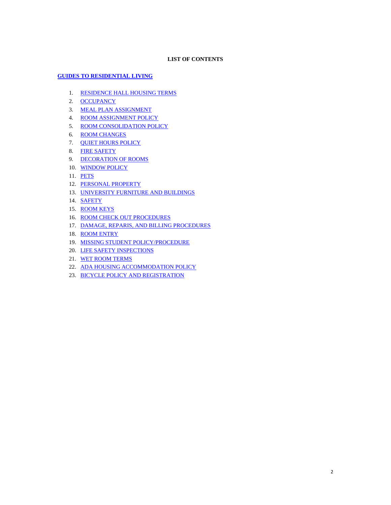# **LIST OF CONTENTS**

# **[GUIDES TO RESIDENTIAL LIVING](#page-2-0)**

- 1. [RESIDENCE HALL HOUSING TERMS](#page-2-1)
- 2. [OCCUPANCY](#page-2-2)
- 3. [MEAL PLAN ASSIGNMENT](#page-2-3)
- 4. [ROOM ASSIGNMENT POLICY](#page-3-0)
- 5. [ROOM CONSOLIDATION POLICY](#page-3-1)
- 6. [ROOM CHANGES](#page-3-2)
- 7. [QUIET HOURS POLICY](#page-3-3)
- 8. [FIRE SAFETY](#page-4-0)
- 9. [DECORATION OF ROOMS](#page-5-0)
- 10. [WINDOW POLICY](#page-5-1)
- 11. [PETS](#page-5-2)
- 12. [PERSONAL PROPERTY](#page-5-3)
- 13. [UNIVERSITY FURNITURE AND BUILDINGS](#page-6-0)
- 14. [SAFETY](#page-6-1)
- 15. [ROOM KEYS](#page-6-2)
- 16. [ROOM CHECK OUT PROCEDURES](#page-6-3)
- 17. [DAMAGE, REPARIS, AND BILLING PROCEDURES](#page-7-0)
- 18. [ROOM ENTRY](#page-7-1)
- 19. [MISSING STUDENT POLICY/PROCEDURE](#page-7-2)
- 20. [LIFE SAFETY INSPECTIONS](#page-7-3)
- 21. [WET ROOM TERMS](#page-8-0)
- 22. [ADA HOUSING ACCOMMODATION POLICY](#page-8-1)
- 23. [BICYCLE POLICY AND REGISTRATION](#page-8-2)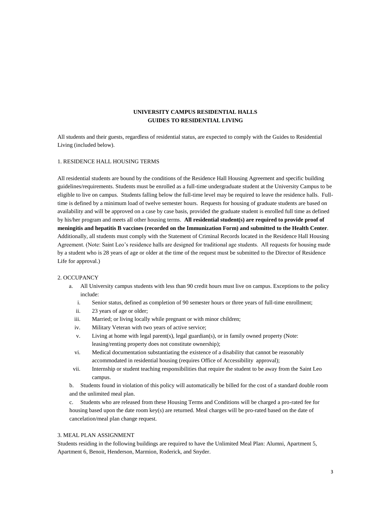# **UNIVERSITY CAMPUS RESIDENTIAL HALLS GUIDES TO RESIDENTIAL LIVING**

<span id="page-2-0"></span>All students and their guests, regardless of residential status, are expected to comply with the Guides to Residential Living (included below).

# <span id="page-2-1"></span>1. RESIDENCE HALL HOUSING TERMS

All residential students are bound by the conditions of the Residence Hall Housing Agreement and specific building guidelines/requirements. Students must be enrolled as a full-time undergraduate student at the University Campus to be eligible to live on campus. Students falling below the full-time level may be required to leave the residence halls. Fulltime is defined by a minimum load of twelve semester hours. Requests for housing of graduate students are based on availability and will be approved on a case by case basis, provided the graduate student is enrolled full time as defined by his/her program and meets all other housing terms. **All residential student(s) are required to provide proof of meningitis and hepatitis B vaccines (recorded on the Immunization Form) and submitted to the Health Center**. Additionally, all students must comply with the Statement of Criminal Records located in the Residence Hall Housing Agreement. (Note: Saint Leo's residence halls are designed for traditional age students. All requests for housing made by a student who is 28 years of age or older at the time of the request must be submitted to the Director of Residence Life for approval.)

# <span id="page-2-2"></span>2. OCCUPANCY

- a. All University campus students with less than 90 credit hours must live on campus. Exceptions to the policy include:
	- i. Senior status, defined as completion of 90 semester hours or three years of full-time enrollment;
	- ii. 23 years of age or older;
	- iii. Married; or living locally while pregnant or with minor children;
	- iv. Military Veteran with two years of active service;
	- v. Living at home with legal parent(s), legal guardian(s), or in family owned property (Note: leasing/renting property does not constitute ownership);
	- vi. Medical documentation substantiating the existence of a disability that cannot be reasonably accommodated in residential housing (requires Office of Accessibility approval);
- vii. Internship or student teaching responsibilities that require the student to be away from the Saint Leo campus.

b. Students found in violation of this policy will automatically be billed for the cost of a standard double room and the unlimited meal plan.

c. Students who are released from these Housing Terms and Conditions will be charged a pro-rated fee for housing based upon the date room key(s) are returned. Meal charges will be pro-rated based on the date of cancelation/meal plan change request.

# <span id="page-2-3"></span>3. MEAL PLAN ASSIGNMENT

Students residing in the following buildings are required to have the Unlimited Meal Plan: Alumni, Apartment 5, Apartment 6, Benoit, Henderson, Marmion, Roderick, and Snyder.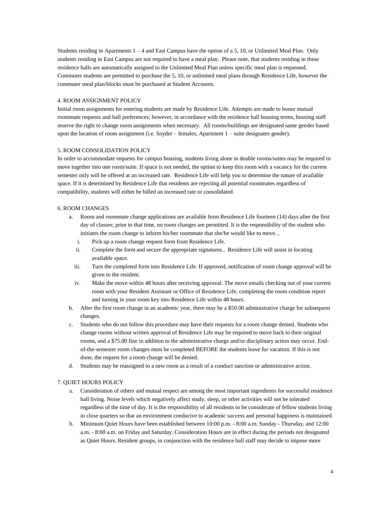Students residing in Apartments  $1 - 4$  and East Campus have the option of a 5, 10, or Unlimited Meal Plan. Only students residing in East Campus are not required to have a meal plan. Please note, that students residing in these residence halls are automatically assigned to the Unlimited Meal Plan unless specific meal plan is requested. Commuter students are permitted to purchase the 5, 10, or unlimited meal plans through Residence Life, however the commuter meal plan/blocks must be purchased at Student Accounts.

#### <span id="page-3-0"></span>4. ROOM ASSIGNMENT POLICY

Initial room assignments for entering students are made by Residence Life. Attempts are made to honor mutual roommate requests and hall preferences; however, in accordance with the residence hall housing terms, housing staff reserve the right to change room assignments when necessary. All rooms/buildings are designated same gender based upon the location of room assignment (i.e. Snyder – females, Apartment 1 – suite designates gender).

# <span id="page-3-1"></span>5. ROOM CONSOLIDATION POLICY

In order to accommodate requests for campus housing, students living alone in double rooms/suites may be required to move together into one room/suite. If space is not needed, the option to keep this room with a vacancy for the current semester only will be offered at an increased rate. Residence Life will help you to determine the nature of available space. If it is determined by Residence Life that residents are rejecting all potential roommates regardless of compatibility, students will either be billed an increased rate or consolidated.

# <span id="page-3-2"></span>6. ROOM CHANGES

- a. Room and roommate change applications are available from Residence Life fourteen (14) days after the first day of classes; prior to that time, no room changes are permitted. It is the responsibility of the student who initiates the room change to inform his/her roommate that she/he would like to move...
	- i. Pick up a room change request form from Residence Life.
	- ii. Complete the form and secure the appropriate signatures.. Residence Life will assist in locating available space.
	- iii. Turn the completed form into Residence Life. If approved, notification of room change approval will be given to the resident.
	- iv. Make the move within 48 hours after receiving approval. The move entails checking out of your current room with your Resident Assistant or Office of Residence Life, completing the room condition report and turning in your room key into Residence Life within 48 hours.
- b. After the first room change in an academic year, there may be a \$50.00 administrative charge for subsequent changes.
- c. Students who do not follow this procedure may have their requests for a room change denied. Students who change rooms without written approval of Residence Life may be required to move back to their original rooms, and a \$75.00 fine in addition to the administrative charge and/or disciplinary action may occur. Endof-the-semester room changes must be completed BEFORE the students leave for vacation. If this is not done, the request for a room change will be denied.
- d. Students may be reassigned to a new room as a result of a conduct sanction or administrative action.

# <span id="page-3-3"></span>7. QUIET HOURS POLICY

- a. Consideration of others and mutual respect are among the most important ingredients for successful residence hall living. Noise levels which negatively affect study, sleep, or other activities will not be tolerated regardless of the time of day. It is the responsibility of all residents to be considerate of fellow students living in close quarters so that an environment conducive to academic success and personal happiness is maintained.
- b. Minimum Quiet Hours have been established between 10:00 p.m. 8:00 a.m. Sunday Thursday, and 12:00 a.m. - 8:00 a.m. on Friday and Saturday. Consideration Hours are in effect during the periods not designated as Quiet Hours. Resident groups, in conjunction with the residence hall staff may decide to impose more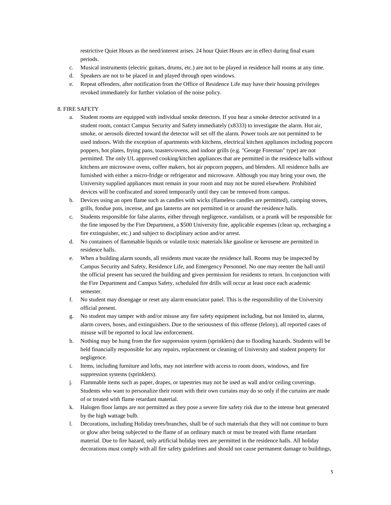restrictive Quiet Hours as the need/interest arises. 24 hour Quiet Hours are in effect during final exam periods.

- c. Musical instruments (electric guitars, drums, etc.) are not to be played in residence hall rooms at any time.
- d. Speakers are not to be placed in and played through open windows.
- e. Repeat offenders, after notification from the Office of Residence Life may have their housing privileges revoked immediately for further violation of the noise policy.

#### <span id="page-4-0"></span>8. FIRE SAFETY

- a. Student rooms are equipped with individual smoke detectors. If you hear a smoke detector activated in a student room, contact Campus Security and Safety immediately (x8333) to investigate the alarm. Hot air, smoke, or aerosols directed toward the detector will set off the alarm. Power tools are not permitted to be used indoors. With the exception of apartments with kitchens, electrical kitchen appliances including popcorn poppers, hot plates, frying pans, toasters/ovens, and indoor grills (e.g. "George Foreman" type) are not permitted. The only UL approved cooking/kitchen appliances that are permitted in the residence halls without kitchens are microwave ovens, coffee makers, hot air popcorn poppers, and blenders. All residence halls are furnished with either a micro-fridge or refrigerator and microwave. Although you may bring your own, the University supplied appliances must remain in your room and may not be stored elsewhere. Prohibited devices will be confiscated and stored temporarily until they can be removed from campus.
- b. Devices using an open flame such as candles with wicks (flameless candles are permitted), camping stoves, grills, fondue pots, incense, and gas lanterns are not permitted in or around the residence halls.
- c. Students responsible for false alarms, either through negligence, vandalism, or a prank will be responsible for the fine imposed by the Fire Department, a \$500 University fine, applicable expenses (clean up, recharging a fire extinguisher, etc.) and subject to disciplinary action and/or arrest.
- d. No containers of flammable liquids or volatile toxic materials like gasoline or kerosene are permitted in residence halls.
- e. When a building alarm sounds, all residents must vacate the residence hall. Rooms may be inspected by Campus Security and Safety, Residence Life, and Emergency Personnel. No one may reenter the hall until the official present has secured the building and given permission for residents to return. In conjunction with the Fire Department and Campus Safety, scheduled fire drills will occur at least once each academic semester.
- f. No student may disengage or reset any alarm enunciator panel. This is the responsibility of the University official present.
- g. No student may tamper with and/or misuse any fire safety equipment including, but not limited to, alarms, alarm covers, hoses, and extinguishers. Due to the seriousness of this offense (felony), all reported cases of misuse will be reported to local law enforcement.
- h. Nothing may be hung from the fire suppression system (sprinklers) due to flooding hazards. Students will be held financially responsible for any repairs, replacement or cleaning of University and student property for negligence.
- i. Items, including furniture and lofts, may not interfere with access to room doors, windows, and fire suppression systems (sprinklers).
- j. Flammable items such as paper, drapes, or tapestries may not be used as wall and/or ceiling coverings. Students who want to personalize their room with their own curtains may do so only if the curtains are made of or treated with flame retardant material.
- k. Halogen floor lamps are not permitted as they pose a severe fire safety risk due to the intense heat generated by the high wattage bulb.
- l. Decorations, including Holiday trees/branches, shall be of such materials that they will not continue to burn or glow after being subjected to the flame of an ordinary match or must be treated with flame retardant material. Due to fire hazard, only artificial holiday trees are permitted in the residence halls. All holiday decorations must comply with all fire safety guidelines and should not cause permanent damage to buildings,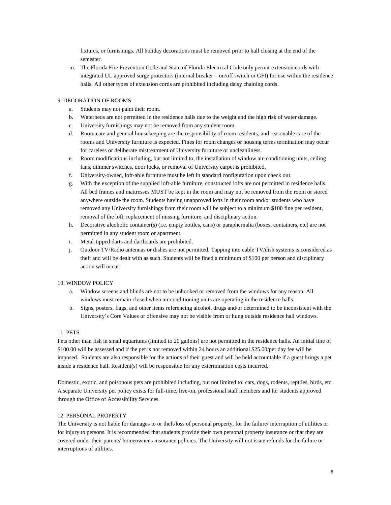fixtures, or furnishings. All holiday decorations must be removed prior to hall closing at the end of the semester.

m. The Florida Fire Prevention Code and State of Florida Electrical Code only permit extension cords with integrated UL approved surge protectors (internal breaker – on/off switch or GFI) for use within the residence halls. All other types of extension cords are prohibited including daisy chaining cords.

# <span id="page-5-0"></span>9. DECORATION OF ROOMS

- a. Students may not paint their room.
- b. Waterbeds are not permitted in the residence halls due to the weight and the high risk of water damage.
- c. University furnishings may not be removed from any student room.
- d. Room care and general housekeeping are the responsibility of room residents, and reasonable care of the rooms and University furniture is expected. Fines for room changes or housing terms termination may occur for careless or deliberate mistreatment of University furniture or uncleanliness.
- e. Room modifications including, but not limited to, the installation of window air-conditioning units, ceiling fans, dimmer switches, door locks, or removal of University carpet is prohibited.
- f. University-owned, loft-able furniture must be left in standard configuration upon check out.
- g. With the exception of the supplied loft-able furniture, constructed lofts are not permitted in residence halls. All bed frames and mattresses MUST be kept in the room and may not be removed from the room or stored anywhere outside the room. Students having unapproved lofts in their room and/or students who have removed any University furnishings from their room will be subject to a minimum \$100 fine per resident, removal of the loft, replacement of missing furniture, and disciplinary action.
- h. Decorative alcoholic container(s) (i.e. empty bottles, cans) or paraphernalia (boxes, containers, etc) are not permitted in any student room or apartment.
- i. Metal-tipped darts and dartboards are prohibited.
- j. Outdoor TV/Radio antennas or dishes are not permitted. Tapping into cable TV/dish systems is considered as theft and will be dealt with as such. Students will be fined a minimum of \$100 per person and disciplinary action will occur.

#### <span id="page-5-1"></span>10. WINDOW POLICY

- a. Window screens and blinds are not to be unhooked or removed from the windows for any reason. All windows must remain closed when air conditioning units are operating in the residence halls.
- b. Signs, posters, flags, and other items referencing alcohol, drugs and/or determined to be inconsistent with the University's Core Values or offensive may not be visible from or hung outside residence hall windows.

#### <span id="page-5-2"></span>11. PETS

Pets other than fish in small aquariums (limited to 20 gallons) are not permitted in the residence halls. An initial fine of \$100.00 will be assessed and if the pet is not removed within 24 hours an additional \$25.00/per day fee will be imposed. Students are also responsible for the actions of their guest and will be held accountable if a guest brings a pet inside a residence hall. Resident(s) will be responsible for any extermination costs incurred.

Domestic, exotic, and poisonous pets are prohibited including, but not limited to: cats, dogs, rodents, reptiles, birds, etc. A separate University pet policy exists for full-time, live-on, professional staff members and for students approved through the Office of Accessibility Services.

# <span id="page-5-3"></span>12. PERSONAL PROPERTY

The University is not liable for damages to or theft/loss of personal property, for the failure/ interruption of utilities or for injury to persons. It is recommended that students provide their own personal property insurance or that they are covered under their parents' homeowner's insurance policies. The University will not issue refunds for the failure or interruptions of utilities.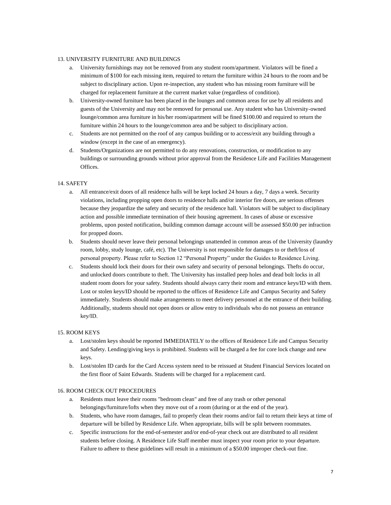# <span id="page-6-0"></span>13. UNIVERSITY FURNITURE AND BUILDINGS

- a. University furnishings may not be removed from any student room/apartment. Violators will be fined a minimum of \$100 for each missing item, required to return the furniture within 24 hours to the room and be subject to disciplinary action. Upon re-inspection, any student who has missing room furniture will be charged for replacement furniture at the current market value (regardless of condition).
- b. University-owned furniture has been placed in the lounges and common areas for use by all residents and guests of the University and may not be removed for personal use. Any student who has University-owned lounge/common area furniture in his/her room/apartment will be fined \$100.00 and required to return the furniture within 24 hours to the lounge/common area and be subject to disciplinary action.
- c. Students are not permitted on the roof of any campus building or to access/exit any building through a window (except in the case of an emergency).
- d. Students/Organizations are not permitted to do any renovations, construction, or modification to any buildings or surrounding grounds without prior approval from the Residence Life and Facilities Management Offices.

# <span id="page-6-1"></span>14. SAFETY

- a. All entrance/exit doors of all residence halls will be kept locked 24 hours a day, 7 days a week. Security violations, including propping open doors to residence halls and/or interior fire doors, are serious offenses because they jeopardize the safety and security of the residence hall. Violators will be subject to disciplinary action and possible immediate termination of their housing agreement. In cases of abuse or excessive problems, upon posted notification, building common damage account will be assessed \$50.00 per infraction for propped doors.
- b. Students should never leave their personal belongings unattended in common areas of the University (laundry room, lobby, study lounge, café, etc). The University is not responsible for damages to or theft/loss of personal property. Please refer to Section 12 "Personal Property" under the Guides to Residence Living.
- c. Students should lock their doors for their own safety and security of personal belongings. Thefts do occur, and unlocked doors contribute to theft. The University has installed peep holes and dead bolt locks in all student room doors for your safety. Students should always carry their room and entrance keys/ID with them. Lost or stolen keys/ID should be reported to the offices of Residence Life and Campus Security and Safety immediately. Students should make arrangements to meet delivery personnel at the entrance of their building. Additionally, students should not open doors or allow entry to individuals who do not possess an entrance key/ID.

#### <span id="page-6-2"></span>15. ROOM KEYS

- a. Lost/stolen keys should be reported IMMEDIATELY to the offices of Residence Life and Campus Security and Safety. Lending/giving keys is prohibited. Students will be charged a fee for core lock change and new keys.
- b. Lost/stolen ID cards for the Card Access system need to be reissued at Student Financial Services located on the first floor of Saint Edwards. Students will be charged for a replacement card.

#### <span id="page-6-3"></span>16. ROOM CHECK OUT PROCEDURES

- a. Residents must leave their rooms "bedroom clean" and free of any trash or other personal belongings/furniture/lofts when they move out of a room (during or at the end of the year).
- b. Students, who have room damages, fail to properly clean their rooms and/or fail to return their keys at time of departure will be billed by Residence Life. When appropriate, bills will be split between roommates.
- c. Specific instructions for the end-of-semester and/or end-of-year check out are distributed to all resident students before closing. A Residence Life Staff member must inspect your room prior to your departure. Failure to adhere to these guidelines will result in a minimum of a \$50.00 improper check-out fine.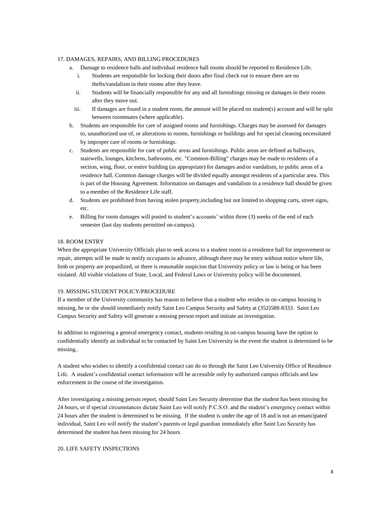# <span id="page-7-0"></span>17. DAMAGES, REPAIRS, AND BILLING PROCEDURES

- a. Damage to residence halls and individual residence hall rooms should be reported to Residence Life.
	- i. Students are responsible for locking their doors after final check out to ensure there are no thefts/vandalism in their rooms after they leave.
	- ii. Students will be financially responsible for any and all furnishings missing or damages in their rooms after they move out.
	- iii. If damages are found in a student room, the amount will be placed on student(s) account and will be split between roommates (where applicable).
- b. Students are responsible for care of assigned rooms and furnishings. Charges may be assessed for damages to, unauthorized use of, or alterations to rooms, furnishings or buildings and for special cleaning necessitated by improper care of rooms or furnishings.
- c. Students are responsible for care of public areas and furnishings. Public areas are defined as hallways, stairwells, lounges, kitchens, bathrooms, etc. "Common-Billing" charges may be made to residents of a section, wing, floor, or entire building (as appropriate) for damages and/or vandalism, to public areas of a residence hall. Common damage charges will be divided equally amongst residents of a particular area. This is part of the Housing Agreement. Information on damages and vandalism in a residence hall should be given to a member of the Residence Life staff.
- d. Students are prohibited from having stolen property,including but not limited to shopping carts, street signs, etc.
- e. Billing for room damages will posted to student's accounts' within three (3) weeks of the end of each semester (last day students permitted on-campus).

# <span id="page-7-1"></span>18. ROOM ENTRY

When the appropriate University Officials plan to seek access to a student room in a residence hall for improvement or repair, attempts will be made to notify occupants in advance, although there may be entry without notice where life, limb or property are jeopardized, or there is reasonable suspicion that University policy or law is being or has been violated. All visible violations of State, Local, and Federal Laws or University policy will be documented.

#### <span id="page-7-2"></span>19. MISSING STUDENT POLICY/PROCEDURE

If a member of the University community has reason to believe that a student who resides in on-campus housing is missing, he or she should immediately notify Saint Leo Campus Security and Safety at (352)588-8333. Saint Leo Campus Security and Safety will generate a missing person report and initiate an investigation.

In addition to registering a general emergency contact, students residing in on-campus housing have the option to confidentially identify an individual to be contacted by Saint Leo University in the event the student is determined to be missing..

A student who wishes to identify a confidential contact can do so through the Saint Leo University Office of Residence Life. A student's confidential contact information will be accessible only by authorized campus officials and law enforcement in the course of the investigation.

After investigating a missing person report, should Saint Leo Security determine that the student has been missing for 24 hours, or if special circumstances dictate Saint Leo will notify P.C.S.O. and the student's emergency contact within 24 hours after the student is determined to be missing. If the student is under the age of 18 and is not an emancipated individual, Saint Leo will notify the student's parents or legal guardian immediately after Saint Leo Security has determined the student has been missing for 24 hours.

# <span id="page-7-3"></span>20. LIFE SAFETY INSPECTIONS